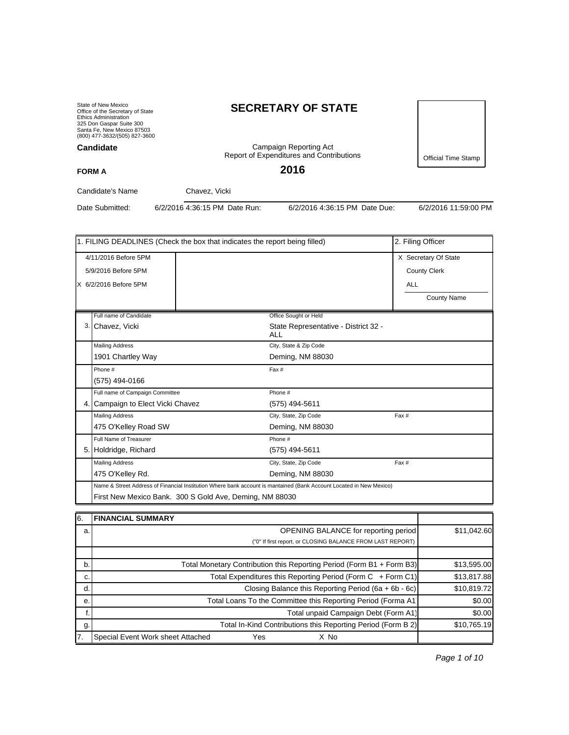State of New Mexico Office of the Secretary of State Ethics Administration 325 Don Gaspar Suite 300 Santa Fe, New Mexico 87503 (800) 477-3632/(505) 827-3600

#### **Candidate**

# **SECRETARY OF STATE**

Campaign Reporting Act Report of Expenditures and Contributions

**2016**

Official Time Stamp

#### **FORM A**

Candidate's Name Chavez, Vicki

Date Submitted: 6/2/2016 4:36:15 PM Date Run: 6/2/2016 4:36:15 PM Date Due: 6/2/2016 11:59:00 PM

| 1. FILING DEADLINES (Check the box that indicates the report being filled)                                                                                                     | 2. Filing Officer    |                                             |                     |  |  |
|--------------------------------------------------------------------------------------------------------------------------------------------------------------------------------|----------------------|---------------------------------------------|---------------------|--|--|
| 4/11/2016 Before 5PM                                                                                                                                                           | X Secretary Of State |                                             |                     |  |  |
| 5/9/2016 Before 5PM                                                                                                                                                            |                      |                                             | <b>County Clerk</b> |  |  |
| X 6/2/2016 Before 5PM                                                                                                                                                          |                      |                                             | <b>ALL</b>          |  |  |
|                                                                                                                                                                                |                      |                                             | County Name         |  |  |
| Full name of Candidate                                                                                                                                                         |                      | Office Sought or Held                       |                     |  |  |
| 3. Chavez, Vicki                                                                                                                                                               |                      | State Representative - District 32 -<br>ALL |                     |  |  |
| <b>Mailing Address</b>                                                                                                                                                         |                      | City, State & Zip Code                      |                     |  |  |
| 1901 Chartley Way                                                                                                                                                              |                      | Deming, NM 88030                            |                     |  |  |
| Phone #                                                                                                                                                                        |                      | Fax #                                       |                     |  |  |
| (575) 494-0166                                                                                                                                                                 |                      |                                             |                     |  |  |
| Full name of Campaign Committee                                                                                                                                                |                      | Phone #                                     |                     |  |  |
| 4. Campaign to Elect Vicki Chavez                                                                                                                                              |                      | (575) 494-5611                              |                     |  |  |
| <b>Mailing Address</b>                                                                                                                                                         |                      | City, State, Zip Code                       | Fax #               |  |  |
| 475 O'Kelley Road SW                                                                                                                                                           |                      | Deming, NM 88030                            |                     |  |  |
| Full Name of Treasurer                                                                                                                                                         |                      | Phone #                                     |                     |  |  |
| 5. Holdridge, Richard                                                                                                                                                          |                      | (575) 494-5611                              |                     |  |  |
| <b>Mailing Address</b>                                                                                                                                                         |                      | City, State, Zip Code                       | Fax #               |  |  |
| 475 O'Kelley Rd.                                                                                                                                                               |                      | Deming, NM 88030                            |                     |  |  |
| Name & Street Address of Financial Institution Where bank account is mantained (Bank Account Located in New Mexico)<br>First New Mexico Bank. 300 S Gold Ave, Deming, NM 88030 |                      |                                             |                     |  |  |

| 16. | <b>FINANCIAL SUMMARY</b>                                              |             |
|-----|-----------------------------------------------------------------------|-------------|
| a.  | <b>OPENING BALANCE for reporting period</b>                           | \$11,042.60 |
|     | ("0" If first report, or CLOSING BALANCE FROM LAST REPORT)            |             |
|     |                                                                       |             |
| b.  | Total Monetary Contribution this Reporting Period (Form B1 + Form B3) | \$13,595.00 |
| c.  | Total Expenditures this Reporting Period (Form C + Form C1)           | \$13,817.88 |
| d.  | Closing Balance this Reporting Period (6a + 6b - 6c)                  | \$10,819.72 |
| е.  | Total Loans To the Committee this Reporting Period (Forma A1)         | \$0.00      |
|     | Total unpaid Campaign Debt (Form A1)                                  | \$0.00      |
| g.  | Total In-Kind Contributions this Reporting Period (Form B 2)          | \$10,765.19 |
| 17. | Special Event Work sheet Attached<br>Yes<br>X No                      |             |

Page 1 of 10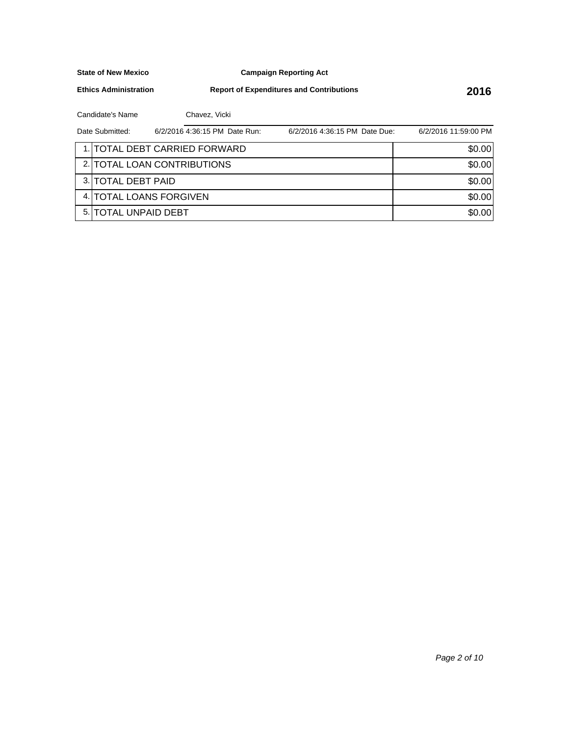**Campaign Reporting Act**

**Ethics Administration**

**Report of Expenditures and Contributions 2016**

Candidate's Name Chavez, Vicki

| Date Submitted:       | 6/2/2016 4:36:15 PM Date Run: | 6/2/2016 4:36:15 PM Date Due: | 6/2/2016 11:59:00 PM |
|-----------------------|-------------------------------|-------------------------------|----------------------|
|                       | 1. TOTAL DEBT CARRIED FORWARD |                               | \$0.00               |
|                       | 2. TOTAL LOAN CONTRIBUTIONS   |                               | \$0.00               |
| 3. TOTAL DEBT PAID    |                               |                               | \$0.00               |
|                       | 4. TOTAL LOANS FORGIVEN       |                               | \$0.00               |
| 5. ITOTAL UNPAID DEBT |                               |                               | \$0.00               |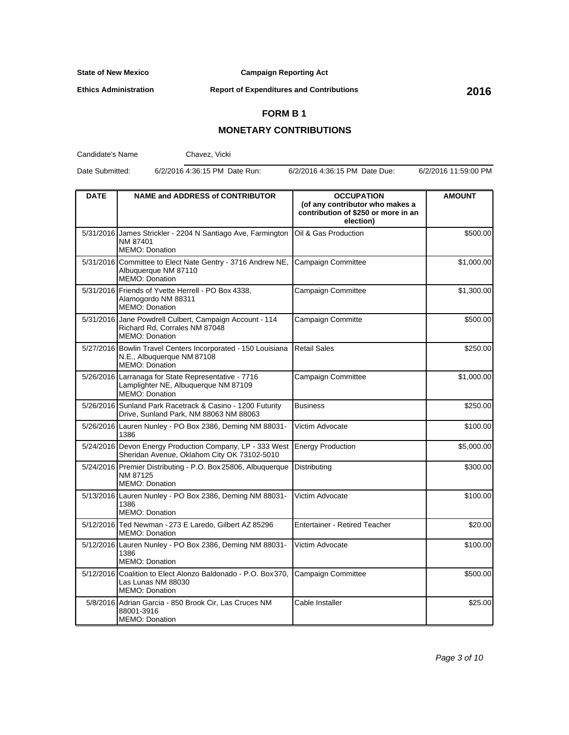**Campaign Reporting Act**

**Ethics Administration**

**Report of Expenditures and Contributions 2016**

## **FORM B 1**

## **MONETARY CONTRIBUTIONS**

Candidate's Name

Chavez, Vicki

Date Submitted: 6/2/2016 4:36:15 PM Date Run: 6/2/2016 4:36:15 PM Date Due: 6/2/2016 11:59:00 PM

| <b>DATE</b> | <b>NAME and ADDRESS of CONTRIBUTOR</b>                                                                            | <b>OCCUPATION</b><br>(of any contributor who makes a<br>contribution of \$250 or more in an<br>election) | <b>AMOUNT</b> |
|-------------|-------------------------------------------------------------------------------------------------------------------|----------------------------------------------------------------------------------------------------------|---------------|
|             | 5/31/2016 James Strickler - 2204 N Santiago Ave, Farmington<br>NM 87401<br><b>MEMO: Donation</b>                  | Oil & Gas Production                                                                                     | \$500.00      |
|             | 5/31/2016 Committee to Elect Nate Gentry - 3716 Andrew NE,<br>Albuquerque NM 87110<br>MEMO: Donation              | Campaign Committee                                                                                       | \$1,000.00    |
|             | 5/31/2016 Friends of Yvette Herrell - PO Box 4338,<br>Alamogordo NM 88311<br><b>MEMO: Donation</b>                | Campaign Committee                                                                                       | \$1,300.00    |
|             | 5/31/2016 Jane Powdrell Culbert, Campaign Account - 114<br>Richard Rd, Corrales NM 87048<br><b>MEMO: Donation</b> | Campaign Committe                                                                                        | \$500.00      |
|             | 5/27/2016 Bowlin Travel Centers Incorporated - 150 Louisiana<br>N.E., Albuquerque NM 87108<br>MEMO: Donation      | Retail Sales                                                                                             | \$250.00      |
|             | 5/26/2016 Larranaga for State Representative - 7716<br>Lamplighter NE, Albuquerque NM 87109<br>MEMO: Donation     | Campaign Committee                                                                                       | \$1,000.00    |
|             | 5/26/2016 Sunland Park Racetrack & Casino - 1200 Futurity<br>Drive, Sunland Park, NM 88063 NM 88063               | <b>Business</b>                                                                                          | \$250.00      |
|             | 5/26/2016 Lauren Nunley - PO Box 2386, Deming NM 88031-<br>1386                                                   | Victim Advocate                                                                                          | \$100.00      |
|             | 5/24/2016 Devon Energy Production Company, LP - 333 West<br>Sheridan Avenue, Oklahom City OK 73102-5010           | <b>Energy Production</b>                                                                                 | \$5,000.00    |
|             | 5/24/2016 Premier Distributing - P.O. Box 25806, Albuquerque<br>NM 87125<br><b>MEMO: Donation</b>                 | Distributing                                                                                             | \$300.00      |
|             | 5/13/2016 Lauren Nunley - PO Box 2386, Deming NM 88031-<br>1386<br><b>MEMO: Donation</b>                          | Victim Advocate                                                                                          | \$100.00      |
|             | 5/12/2016 Ted Newman - 273 E Laredo, Gilbert AZ 85296<br><b>MEMO: Donation</b>                                    | <b>Entertainer - Retired Teacher</b>                                                                     | \$20.00       |
|             | 5/12/2016 Lauren Nunley - PO Box 2386, Deming NM 88031-<br>1386<br><b>MEMO: Donation</b>                          | Victim Advocate                                                                                          | \$100.00      |
|             | 5/12/2016 Coalition to Elect Alonzo Baldonado - P.O. Box 370,<br>Las Lunas NM 88030<br>MEMO: Donation             | <b>Campaign Committee</b>                                                                                | \$500.00      |
|             | 5/8/2016 Adrian Garcia - 850 Brook Cir, Las Cruces NM<br>88001-3916<br><b>MEMO: Donation</b>                      | Cable Installer                                                                                          | \$25.00       |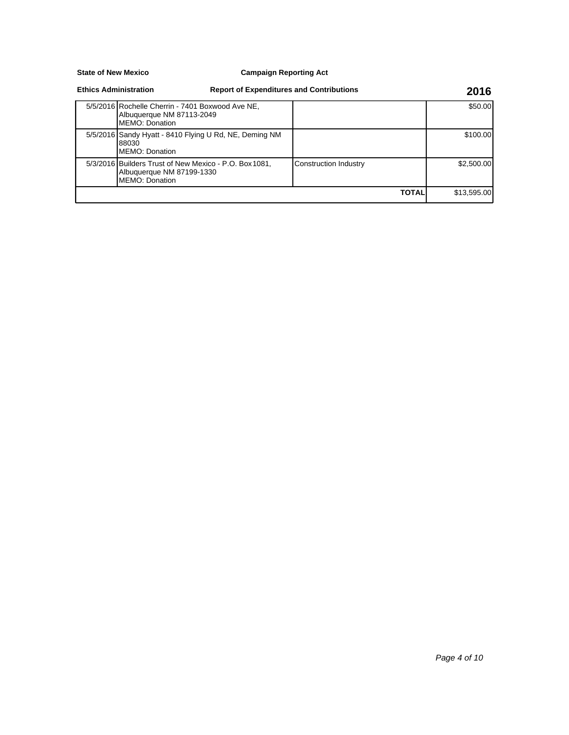#### **Campaign Reporting Act**

#### **Ethics Administration**

88030

MEMO: Donation

#### 5/5/2016 Rochelle Cherrin - 7401 Boxwood Ave NE, Albuquerque NM 87113-2049 MEMO: Donation \$50.00 5/5/2016 Sandy Hyatt - 8410 Flying U Rd, NE, Deming NM MEMO: Donation \$100.00 5/3/2016 Builders Trust of New Mexico - P.O. Box 1081, Albuquerque NM 87199-1330 Construction Industry **\$2,500.00 Report of Expenditures and Contributions 2016**

**TOTAL** \$13,595.00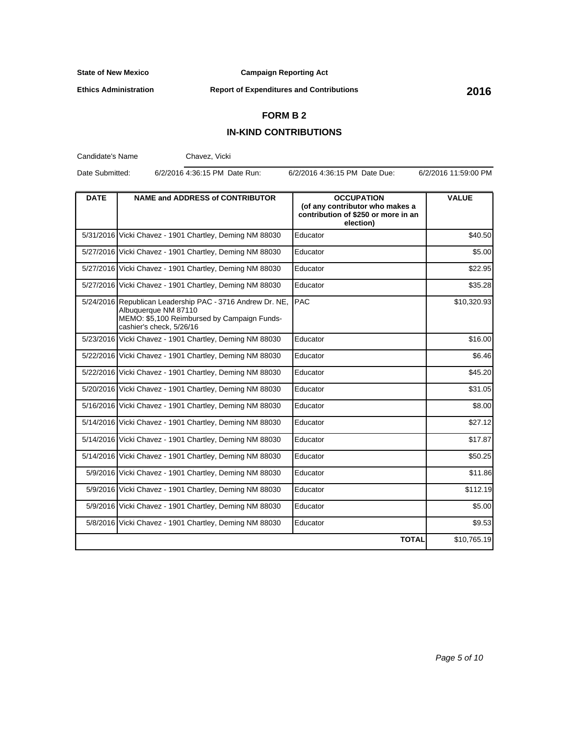**Campaign Reporting Act**

**Ethics Administration**

**Report of Expenditures and Contributions 2016**

## **FORM B 2**

## **IN-KIND CONTRIBUTIONS**

Candidate's Name Chavez, Vicki

Date Submitted: 6/2/2016 4:36:15 PM Date Run: 6/2/2016 4:36:15 PM Date Due: 6/2/2016 11:59:00 PM

| <b>DATE</b> | <b>NAME and ADDRESS of CONTRIBUTOR</b>                                                                                                                       | <b>OCCUPATION</b><br>(of any contributor who makes a<br>contribution of \$250 or more in an<br>election) | <b>VALUE</b> |
|-------------|--------------------------------------------------------------------------------------------------------------------------------------------------------------|----------------------------------------------------------------------------------------------------------|--------------|
|             | 5/31/2016 Vicki Chavez - 1901 Chartley, Deming NM 88030                                                                                                      | Educator                                                                                                 | \$40.50      |
|             | 5/27/2016 Vicki Chavez - 1901 Chartley, Deming NM 88030                                                                                                      | Educator                                                                                                 | \$5.00       |
|             | 5/27/2016 Vicki Chavez - 1901 Chartley, Deming NM 88030                                                                                                      | Educator                                                                                                 | \$22.95      |
|             | 5/27/2016 Vicki Chavez - 1901 Chartley, Deming NM 88030                                                                                                      | Educator                                                                                                 | \$35.28      |
|             | 5/24/2016 Republican Leadership PAC - 3716 Andrew Dr. NE,<br>Albuquerque NM 87110<br>MEMO: \$5,100 Reimbursed by Campaign Funds-<br>cashier's check, 5/26/16 | <b>PAC</b>                                                                                               | \$10,320.93  |
|             | 5/23/2016 Vicki Chavez - 1901 Chartley, Deming NM 88030                                                                                                      | Educator                                                                                                 | \$16.00      |
|             | 5/22/2016 Vicki Chavez - 1901 Chartley, Deming NM 88030                                                                                                      | Educator                                                                                                 | \$6.46       |
|             | 5/22/2016 Vicki Chavez - 1901 Chartley, Deming NM 88030                                                                                                      | Educator                                                                                                 | \$45.20      |
|             | 5/20/2016 Vicki Chavez - 1901 Chartley, Deming NM 88030                                                                                                      | Educator                                                                                                 | \$31.05      |
|             | 5/16/2016 Vicki Chavez - 1901 Chartley, Deming NM 88030                                                                                                      | Educator                                                                                                 | \$8.00       |
|             | 5/14/2016 Vicki Chavez - 1901 Chartley, Deming NM 88030                                                                                                      | Educator                                                                                                 | \$27.12      |
|             | 5/14/2016 Vicki Chavez - 1901 Chartley, Deming NM 88030                                                                                                      | Educator                                                                                                 | \$17.87      |
|             | 5/14/2016 Vicki Chavez - 1901 Chartley, Deming NM 88030                                                                                                      | Educator                                                                                                 | \$50.25      |
|             | 5/9/2016 Vicki Chavez - 1901 Chartley, Deming NM 88030                                                                                                       | Educator                                                                                                 | \$11.86      |
|             | 5/9/2016 Vicki Chavez - 1901 Chartley, Deming NM 88030                                                                                                       | Educator                                                                                                 | \$112.19     |
|             | 5/9/2016 Vicki Chavez - 1901 Chartley, Deming NM 88030                                                                                                       | Educator                                                                                                 | \$5.00       |
|             | 5/8/2016 Vicki Chavez - 1901 Chartley, Deming NM 88030                                                                                                       | Educator                                                                                                 | \$9.53       |
|             |                                                                                                                                                              | <b>TOTAL</b>                                                                                             | \$10,765.19  |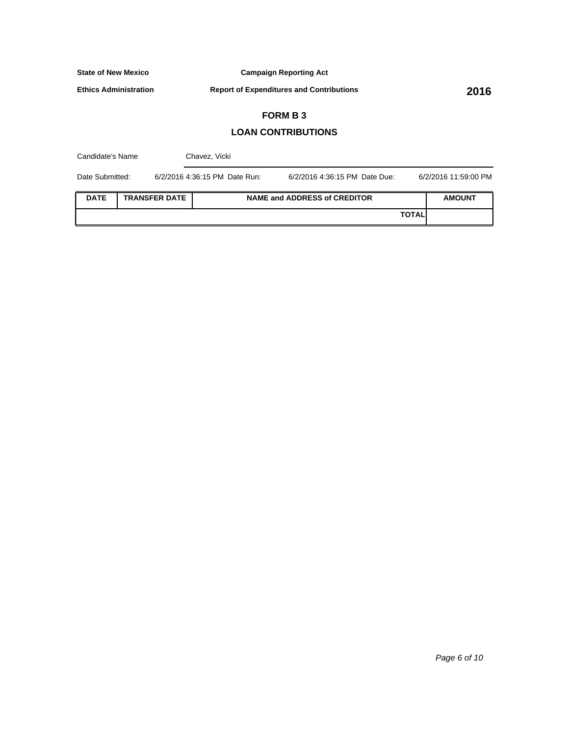**Campaign Reporting Act**

**Ethics Administration**

**Report of Expenditures and Contributions 2016**

# **FORM B 3**

## **LOAN CONTRIBUTIONS**

| Candidate's Name                    |  |  | Chavez, Vicki                 |                                     |              |                      |
|-------------------------------------|--|--|-------------------------------|-------------------------------------|--------------|----------------------|
| Date Submitted:                     |  |  | 6/2/2016 4:36:15 PM Date Run: | 6/2/2016 4:36:15 PM Date Due:       |              | 6/2/2016 11:59:00 PM |
| <b>DATE</b><br><b>TRANSFER DATE</b> |  |  |                               | <b>NAME and ADDRESS of CREDITOR</b> |              | <b>AMOUNT</b>        |
|                                     |  |  |                               |                                     | <b>TOTAL</b> |                      |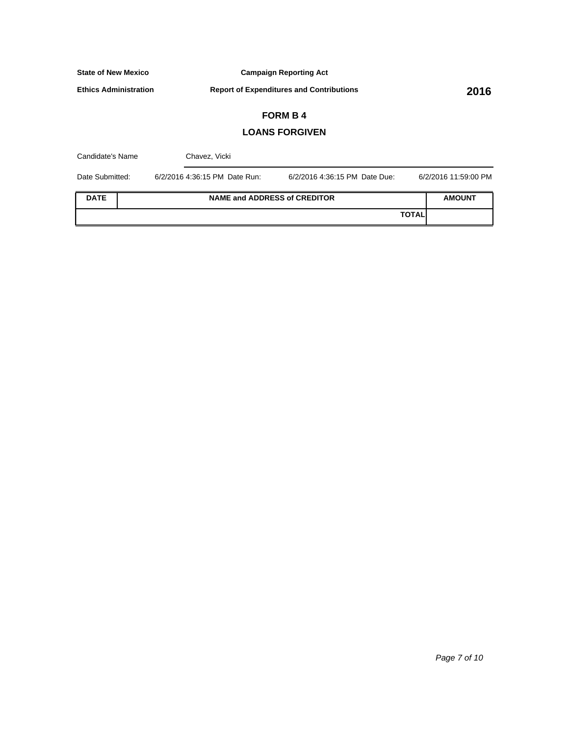**Campaign Reporting Act**

**Ethics Administration**

**Report of Expenditures and Contributions 2016**

# **FORM B 4**

## **LOANS FORGIVEN**

| Candidate's Name |  | Chavez, Vicki                 |                                     |                      |  |  |
|------------------|--|-------------------------------|-------------------------------------|----------------------|--|--|
| Date Submitted:  |  | 6/2/2016 4:36:15 PM Date Run: | 6/2/2016 4:36:15 PM Date Due:       | 6/2/2016 11:59:00 PM |  |  |
| <b>DATE</b>      |  |                               | <b>NAME and ADDRESS of CREDITOR</b> | <b>AMOUNT</b>        |  |  |
|                  |  |                               | <b>TOTAL</b>                        |                      |  |  |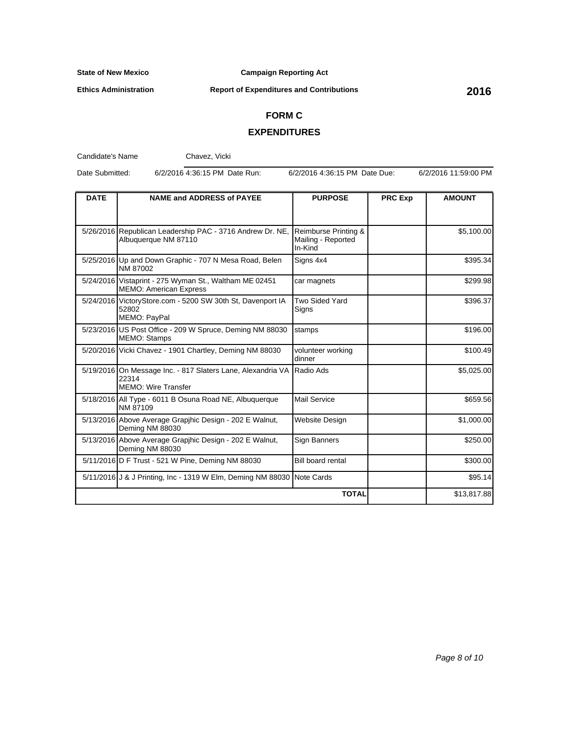**Campaign Reporting Act**

**Ethics Administration**

**Report of Expenditures and Contributions 2016**

# **FORM C**

#### **EXPENDITURES**

Candidate's Name

Chavez, Vicki

Date Submitted: 6/2/2016 4:36:15 PM Date Run: 6/2/2016 4:36:15 PM Date Due: 6/2/2016 11:59:00 PM

| <b>DATE</b> | <b>NAME and ADDRESS of PAYEE</b>                                                                   | <b>PURPOSE</b>                                        | <b>PRC Exp</b> | <b>AMOUNT</b> |
|-------------|----------------------------------------------------------------------------------------------------|-------------------------------------------------------|----------------|---------------|
|             |                                                                                                    |                                                       |                |               |
|             | 5/26/2016 Republican Leadership PAC - 3716 Andrew Dr. NE,<br>Albuquerque NM 87110                  | Reimburse Printing &<br>Mailing - Reported<br>In-Kind |                | \$5,100.00    |
|             | 5/25/2016 Up and Down Graphic - 707 N Mesa Road, Belen<br>NM 87002                                 | Signs 4x4                                             |                | \$395.34      |
|             | 5/24/2016 Vistaprint - 275 Wyman St., Waltham ME 02451<br><b>MEMO: American Express</b>            | car magnets                                           |                | \$299.98      |
|             | 5/24/2016 VictoryStore.com - 5200 SW 30th St, Davenport IA<br>52802<br>MEMO: PayPal                | Two Sided Yard<br>Signs                               |                | \$396.37      |
|             | 5/23/2016 US Post Office - 209 W Spruce, Deming NM 88030<br><b>MEMO: Stamps</b>                    | stamps                                                |                | \$196.00      |
|             | 5/20/2016 Vicki Chavez - 1901 Chartley, Deming NM 88030                                            | volunteer working<br>dinner                           |                | \$100.49      |
|             | 5/19/2016 On Message Inc. - 817 Slaters Lane, Alexandria VA<br>22314<br><b>MEMO: Wire Transfer</b> | Radio Ads                                             |                | \$5,025.00    |
|             | 5/18/2016 All Type - 6011 B Osuna Road NE, Albuquerque<br>NM 87109                                 | Mail Service                                          |                | \$659.56      |
|             | 5/13/2016 Above Average Grapihic Design - 202 E Walnut,<br>Deming NM 88030                         | Website Design                                        |                | \$1,000.00    |
|             | 5/13/2016 Above Average Grapihic Design - 202 E Walnut,<br>Deming NM 88030                         | Sign Banners                                          |                | \$250.00      |
|             | 5/11/2016 D F Trust - 521 W Pine, Deming NM 88030                                                  | <b>Bill board rental</b>                              |                | \$300.00      |
|             | 5/11/2016 J & J Printing, Inc - 1319 W Elm, Deming NM 88030 Note Cards                             |                                                       |                | \$95.14       |
|             |                                                                                                    | <b>TOTAL</b>                                          |                | \$13,817.88   |

Page 8 of 10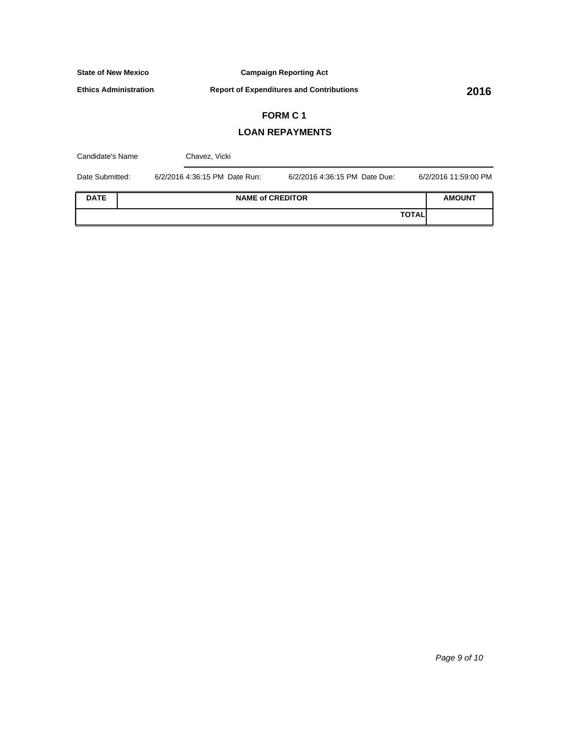**Campaign Reporting Act**

**Ethics Administration**

**Report of Expenditures and Contributions 2016**

# **FORM C 1**

## **LOAN REPAYMENTS**

| Candidate's Name |  | Chavez, Vicki                 |                               |              |                      |
|------------------|--|-------------------------------|-------------------------------|--------------|----------------------|
| Date Submitted:  |  | 6/2/2016 4:36:15 PM Date Run: | 6/2/2016 4:36:15 PM Date Due: |              | 6/2/2016 11:59:00 PM |
| <b>DATE</b>      |  | <b>NAME of CREDITOR</b>       |                               |              | <b>AMOUNT</b>        |
|                  |  |                               |                               | <b>TOTAL</b> |                      |